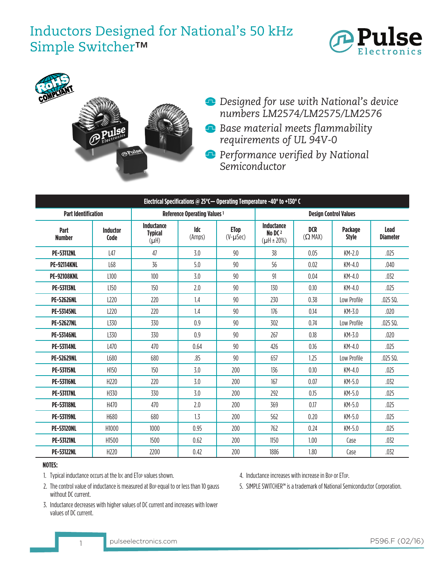# Inductors Designed for National's 50 kHz Simple Switcher™





- *Designed for use with National's device numbers LM2574/LM2575/LM2576*
- *Base material meets flammability requirements of UL 94V-0*
- *Performance verified by National Semiconductor*

| Electrical Specifications @ 25 $^{\circ}$ C $-$ Operating Temperature -40 $^{\circ}$ to +130 $^{\circ}$ C |                         |                                           |                                     |                                 |                                                               |                         |                         |                         |  |  |  |  |
|-----------------------------------------------------------------------------------------------------------|-------------------------|-------------------------------------------|-------------------------------------|---------------------------------|---------------------------------------------------------------|-------------------------|-------------------------|-------------------------|--|--|--|--|
| <b>Part Identification</b>                                                                                |                         |                                           | <b>Reference Operating Values 1</b> |                                 | <b>Design Control Values</b>                                  |                         |                         |                         |  |  |  |  |
| Part<br><b>Number</b>                                                                                     | <b>Inductor</b><br>Code | Inductance<br><b>Typical</b><br>$(\mu H)$ | Idc<br>(Amps)                       | <b>ETop</b><br>$(V-\mu$ Sec $)$ | <b>Inductance</b><br>No DC <sub>2</sub><br>$(\mu H \pm 20\%)$ | <b>DCR</b><br>$(Q$ MAX) | Package<br><b>Style</b> | Lead<br><b>Diameter</b> |  |  |  |  |
| <b>PE-53112NL</b>                                                                                         | L47                     | 47                                        | 3.0                                 | 90                              | 38                                                            | 0.05                    | $KM-2.0$                | .025                    |  |  |  |  |
| <b>PE-92114KNL</b>                                                                                        | L68                     | 36                                        | 5.0                                 | 90                              | 56                                                            | 0.02                    | KM-4.0                  | .040                    |  |  |  |  |
| <b>PE-92108KNL</b>                                                                                        | L100                    | 100                                       | 3.0                                 | 90                              | 91                                                            | 0.04                    | $KM-4.0$                | .032                    |  |  |  |  |
| <b>PE-53113NL</b>                                                                                         | L150                    | 150                                       | 2.0                                 | 90                              | 130                                                           | 0.10                    | $KM-4.0$                | .025                    |  |  |  |  |
| <b>PE-52626NL</b>                                                                                         | L220                    | 220                                       | 1.4                                 | 90                              | 230                                                           | 0.38                    | Low Profile             | .025 SQ.                |  |  |  |  |
| <b>PE-53145NL</b>                                                                                         | L <sub>220</sub>        | 220                                       | 1.4                                 | 90                              | 176                                                           | 0.14                    | $KM-3.0$                | .020                    |  |  |  |  |
| <b>PE-52627NL</b>                                                                                         | L330                    | 330                                       | 0.9                                 | 90                              | 302                                                           | 0.74                    | Low Profile             | .025 SQ.                |  |  |  |  |
| <b>PE-53146NL</b>                                                                                         | L330                    | 330                                       | 0.9                                 | 90                              | 267                                                           | 0.18                    | KM-3.0                  | .020                    |  |  |  |  |
| <b>PE-53114NL</b>                                                                                         | L470                    | 470                                       | 0.64                                | 90                              | 426                                                           | 0.16                    | $KM-4.0$                | .025                    |  |  |  |  |
| <b>PE-52629NL</b>                                                                                         | L680                    | 680                                       | .85                                 | 90                              | 657                                                           | 1.25                    | Low Profile             | .025 SQ.                |  |  |  |  |
| <b>PE-53115NL</b>                                                                                         | H150                    | 150                                       | 3.0                                 | 200                             | 136                                                           | 0.10                    | $KM-4.0$                | .025                    |  |  |  |  |
| <b>PE-53116NL</b>                                                                                         | H <sub>220</sub>        | 220                                       | 3.0                                 | 200                             | 167                                                           | 0.07                    | $KM-5.0$                | .032                    |  |  |  |  |
| <b>PE-53117NL</b>                                                                                         | H330                    | 330                                       | 3.0                                 | 200                             | 292                                                           | 0.15                    | KM-5.0                  | .025                    |  |  |  |  |
| <b>PE-53118NL</b>                                                                                         | H470                    | 470                                       | 2.0                                 | 200                             | 369                                                           | 0.17                    | $KM-5.0$                | .025                    |  |  |  |  |
| <b>PE-53119NL</b>                                                                                         | H680                    | 680                                       | 1.3                                 | 200                             | 562                                                           | 0.20                    | KM-5.0                  | .025                    |  |  |  |  |
| <b>PE-53120NL</b>                                                                                         | H1000                   | 1000                                      | 0.95                                | 200                             | 762                                                           | 0.24                    | $KM-5.0$                | .025                    |  |  |  |  |
| <b>PE-53121NL</b>                                                                                         | H <sub>1500</sub>       | 1500                                      | 0.62                                | 200                             | 1150                                                          | 1.00                    | Case                    | .032                    |  |  |  |  |
| <b>PE-53122NL</b>                                                                                         | H <sub>220</sub>        | 2200                                      | 0.42                                | 200                             | 1886                                                          | 1.80                    | Case                    | .032                    |  |  |  |  |

## **NOTES:**

1. Typical inductance occurs at the loc and ETop values shown.

- 2. The control value of inductance is measured at Bop equal to or less than 10 gauss without DC current.
	- 5. SIMPLE SWITCHER™ is a trademark of National Semiconductor Corporation.

4. Inductance increases with increase in Bop or ETop.

3. Inductance decreases with higher values of DC current and increases with lower values of DC current.